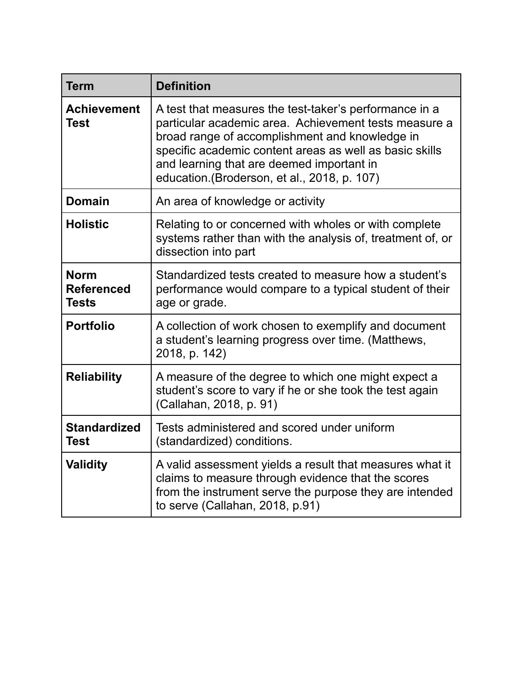| <b>Term</b>                                      | <b>Definition</b>                                                                                                                                                                                                                                                                                                         |
|--------------------------------------------------|---------------------------------------------------------------------------------------------------------------------------------------------------------------------------------------------------------------------------------------------------------------------------------------------------------------------------|
| <b>Achievement</b><br><b>Test</b>                | A test that measures the test-taker's performance in a<br>particular academic area. Achievement tests measure a<br>broad range of accomplishment and knowledge in<br>specific academic content areas as well as basic skills<br>and learning that are deemed important in<br>education. (Broderson, et al., 2018, p. 107) |
| <b>Domain</b>                                    | An area of knowledge or activity                                                                                                                                                                                                                                                                                          |
| <b>Holistic</b>                                  | Relating to or concerned with wholes or with complete<br>systems rather than with the analysis of, treatment of, or<br>dissection into part                                                                                                                                                                               |
| <b>Norm</b><br><b>Referenced</b><br><b>Tests</b> | Standardized tests created to measure how a student's<br>performance would compare to a typical student of their<br>age or grade.                                                                                                                                                                                         |
| <b>Portfolio</b>                                 | A collection of work chosen to exemplify and document<br>a student's learning progress over time. (Matthews,<br>2018, p. 142)                                                                                                                                                                                             |
| <b>Reliability</b>                               | A measure of the degree to which one might expect a<br>student's score to vary if he or she took the test again<br>(Callahan, 2018, p. 91)                                                                                                                                                                                |
| <b>Standardized</b><br><b>Test</b>               | Tests administered and scored under uniform<br>(standardized) conditions.                                                                                                                                                                                                                                                 |
| <b>Validity</b>                                  | A valid assessment yields a result that measures what it<br>claims to measure through evidence that the scores<br>from the instrument serve the purpose they are intended<br>to serve (Callahan, 2018, p.91)                                                                                                              |